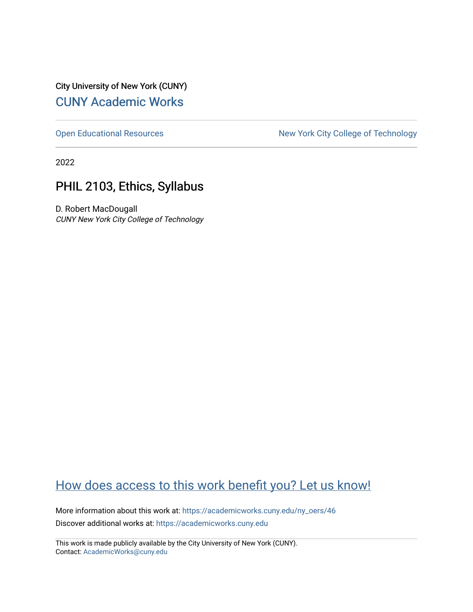City University of New York (CUNY) [CUNY Academic Works](https://academicworks.cuny.edu/) 

[Open Educational Resources](https://academicworks.cuny.edu/ny_oers) New York City College of Technology

2022

# PHIL 2103, Ethics, Syllabus

D. Robert MacDougall CUNY New York City College of Technology

# [How does access to this work benefit you? Let us know!](http://ols.cuny.edu/academicworks/?ref=https://academicworks.cuny.edu/ny_oers/46)

More information about this work at: [https://academicworks.cuny.edu/ny\\_oers/46](https://academicworks.cuny.edu/ny_oers/46)  Discover additional works at: [https://academicworks.cuny.edu](https://academicworks.cuny.edu/?)

This work is made publicly available by the City University of New York (CUNY). Contact: [AcademicWorks@cuny.edu](mailto:AcademicWorks@cuny.edu)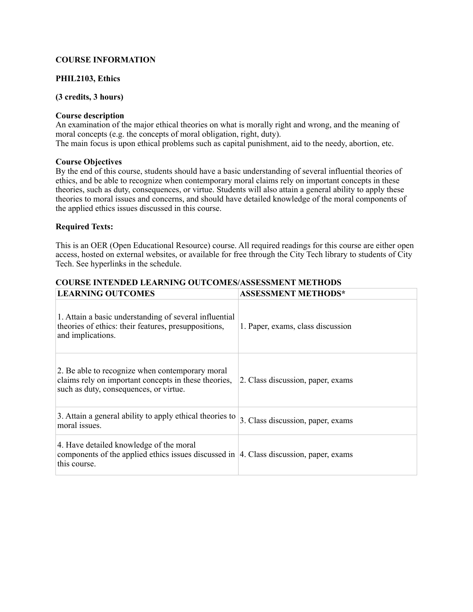# **COURSE INFORMATION**

# **PHIL2103, Ethics**

# **(3 credits, 3 hours)**

# **Course description**

An examination of the major ethical theories on what is morally right and wrong, and the meaning of moral concepts (e.g. the concepts of moral obligation, right, duty). The main focus is upon ethical problems such as capital punishment, aid to the needy, abortion, etc.

# **Course Objectives**

By the end of this course, students should have a basic understanding of several influential theories of ethics, and be able to recognize when contemporary moral claims rely on important concepts in these theories, such as duty, consequences, or virtue. Students will also attain a general ability to apply these theories to moral issues and concerns, and should have detailed knowledge of the moral components of the applied ethics issues discussed in this course.

# **Required Texts:**

This is an OER (Open Educational Resource) course. All required readings for this course are either open access, hosted on external websites, or available for free through the City Tech library to students of City Tech. See hyperlinks in the schedule.

# **COURSE INTENDED LEARNING OUTCOMES/ASSESSMENT METHODS**

| <b>LEARNING OUTCOMES</b>                                                                                                                              | <b>ASSESSMENT METHODS*</b>        |
|-------------------------------------------------------------------------------------------------------------------------------------------------------|-----------------------------------|
| 1. Attain a basic understanding of several influential<br>theories of ethics: their features, presuppositions,<br>and implications.                   | 1. Paper, exams, class discussion |
| 2. Be able to recognize when contemporary moral<br>claims rely on important concepts in these theories,<br>such as duty, consequences, or virtue.     | 2. Class discussion, paper, exams |
| 3. Attain a general ability to apply ethical theories to<br>moral issues.                                                                             | 3. Class discussion, paper, exams |
| 4. Have detailed knowledge of the moral<br>components of the applied ethics issues discussed in $ 4$ . Class discussion, paper, exams<br>this course. |                                   |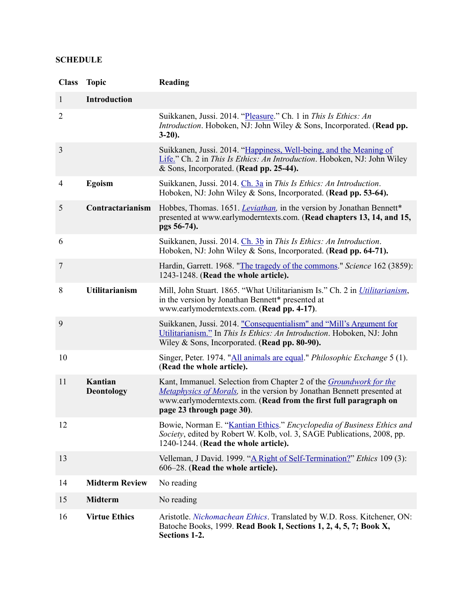# **SCHEDULE**

| <b>Class</b>   | <b>Topic</b>                 | Reading                                                                                                                                                                                                                                              |
|----------------|------------------------------|------------------------------------------------------------------------------------------------------------------------------------------------------------------------------------------------------------------------------------------------------|
| $\mathbf{1}$   | <b>Introduction</b>          |                                                                                                                                                                                                                                                      |
| $\overline{2}$ |                              | Suikkanen, Jussi. 2014. "Pleasure." Ch. 1 in This Is Ethics: An<br><i>Introduction.</i> Hoboken, NJ: John Wiley & Sons, Incorporated. (Read pp.<br>$3-20$ ).                                                                                         |
| $\mathfrak{Z}$ |                              | Suikkanen, Jussi. 2014. "Happiness, Well-being, and the Meaning of<br>Life." Ch. 2 in This Is Ethics: An Introduction. Hoboken, NJ: John Wiley<br>& Sons, Incorporated. (Read pp. 25-44).                                                            |
| 4              | Egoism                       | Suikkanen, Jussi. 2014. Ch. 3a in This Is Ethics: An Introduction.<br>Hoboken, NJ: John Wiley & Sons, Incorporated. (Read pp. 53-64).                                                                                                                |
| 5              | Contractarianism             | Hobbes, Thomas. 1651. <i>Leviathan</i> , in the version by Jonathan Bennett*<br>presented at www.earlymoderntexts.com. (Read chapters 13, 14, and 15,<br>pgs 56-74).                                                                                 |
| 6              |                              | Suikkanen, Jussi. 2014. Ch. 3b in This Is Ethics: An Introduction.<br>Hoboken, NJ: John Wiley & Sons, Incorporated. (Read pp. 64-71).                                                                                                                |
| 7              |                              | Hardin, Garrett. 1968. "The tragedy of the commons." Science 162 (3859):<br>1243-1248. (Read the whole article).                                                                                                                                     |
| 8              | <b>Utilitarianism</b>        | Mill, John Stuart. 1865. "What Utilitarianism Is." Ch. 2 in <i>Utilitarianism</i> ,<br>in the version by Jonathan Bennett* presented at<br>www.earlymoderntexts.com. (Read pp. 4-17).                                                                |
| 9              |                              | Suikkanen, Jussi. 2014. "Consequentialism" and "Mill's Argument for<br>Utilitarianism." In This Is Ethics: An Introduction. Hoboken, NJ: John<br>Wiley & Sons, Incorporated. (Read pp. 80-90).                                                       |
| 10             |                              | Singer, Peter. 1974. "All animals are equal." Philosophic Exchange 5 (1).<br>(Read the whole article).                                                                                                                                               |
| 11             | Kantian<br><b>Deontology</b> | Kant, Immanuel. Selection from Chapter 2 of the <i>Groundwork for the</i><br>Metaphysics of Morals, in the version by Jonathan Bennett presented at<br>www.earlymoderntexts.com. (Read from the first full paragraph on<br>page 23 through page 30). |
| 12             |                              | Bowie, Norman E. "Kantian Ethics." Encyclopedia of Business Ethics and<br>Society, edited by Robert W. Kolb, vol. 3, SAGE Publications, 2008, pp.<br>1240-1244. (Read the whole article).                                                            |
| 13             |                              | Velleman, J David. 1999. "A Right of Self-Termination?" Ethics 109 (3):<br>606–28. (Read the whole article).                                                                                                                                         |
| 14             | <b>Midterm Review</b>        | No reading                                                                                                                                                                                                                                           |
| 15             | <b>Midterm</b>               | No reading                                                                                                                                                                                                                                           |
| 16             | <b>Virtue Ethics</b>         | Aristotle. Nichomachean Ethics. Translated by W.D. Ross. Kitchener, ON:<br>Batoche Books, 1999. Read Book I, Sections 1, 2, 4, 5, 7; Book X,<br>Sections 1-2.                                                                                        |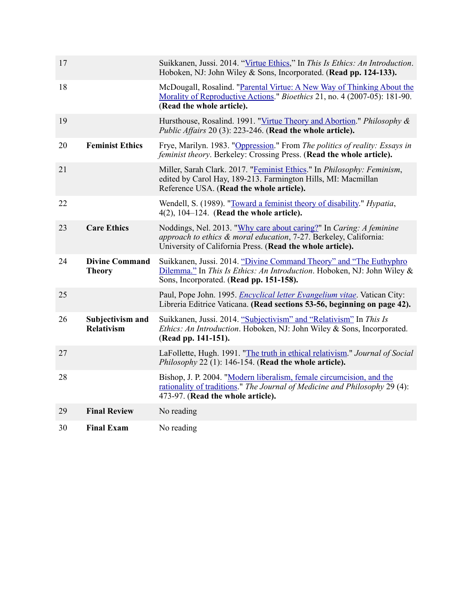| 17 |                                        | Suikkanen, Jussi. 2014. "Virtue Ethics," In This Is Ethics: An Introduction.<br>Hoboken, NJ: John Wiley & Sons, Incorporated. (Read pp. 124-133).                                                     |
|----|----------------------------------------|-------------------------------------------------------------------------------------------------------------------------------------------------------------------------------------------------------|
| 18 |                                        | McDougall, Rosalind. "Parental Virtue: A New Way of Thinking About the<br>Morality of Reproductive Actions." Bioethics 21, no. 4 (2007-05): 181-90.<br>(Read the whole article).                      |
| 19 |                                        | Hursthouse, Rosalind. 1991. "Virtue Theory and Abortion." Philosophy &<br>Public Affairs 20 (3): 223-246. (Read the whole article).                                                                   |
| 20 | <b>Feminist Ethics</b>                 | Frye, Marilyn. 1983. "Oppression." From The politics of reality: Essays in<br>feminist theory. Berkeley: Crossing Press. (Read the whole article).                                                    |
| 21 |                                        | Miller, Sarah Clark. 2017. "Feminist Ethics." In Philosophy: Feminism,<br>edited by Carol Hay, 189-213. Farmington Hills, MI: Macmillan<br>Reference USA. (Read the whole article).                   |
| 22 |                                        | Wendell, S. (1989). "Toward a feminist theory of disability." <i>Hypatia</i> ,<br>$4(2)$ , $104-124$ . (Read the whole article).                                                                      |
| 23 | <b>Care Ethics</b>                     | Noddings, Nel. 2013. "Why care about caring?" In Caring: A feminine<br>approach to ethics & moral education, 7-27. Berkeley, California:<br>University of California Press. (Read the whole article). |
| 24 | <b>Divine Command</b><br><b>Theory</b> | Suikkanen, Jussi. 2014. "Divine Command Theory" and "The Euthyphro<br>Dilemma." In This Is Ethics: An Introduction. Hoboken, NJ: John Wiley &<br>Sons, Incorporated. (Read pp. 151-158).              |
| 25 |                                        | Paul, Pope John. 1995. <i>Encyclical letter Evangelium vitae</i> . Vatican City:<br>Libreria Editrice Vaticana. (Read sections 53-56, beginning on page 42).                                          |
| 26 | Subjectivism and<br><b>Relativism</b>  | Suikkanen, Jussi. 2014. "Subjectivism" and "Relativism" In This Is<br>Ethics: An Introduction. Hoboken, NJ: John Wiley & Sons, Incorporated.<br>(Read pp. 141-151).                                   |
| 27 |                                        | LaFollette, Hugh. 1991. "The truth in ethical relativism." Journal of Social<br>Philosophy 22 (1): 146-154. (Read the whole article).                                                                 |
| 28 |                                        | Bishop, J. P. 2004. "Modern liberalism, female circumcision, and the<br>rationality of traditions." The Journal of Medicine and Philosophy 29 (4):<br>473-97. (Read the whole article).               |
| 29 | <b>Final Review</b>                    | No reading                                                                                                                                                                                            |
| 30 | <b>Final Exam</b>                      | No reading                                                                                                                                                                                            |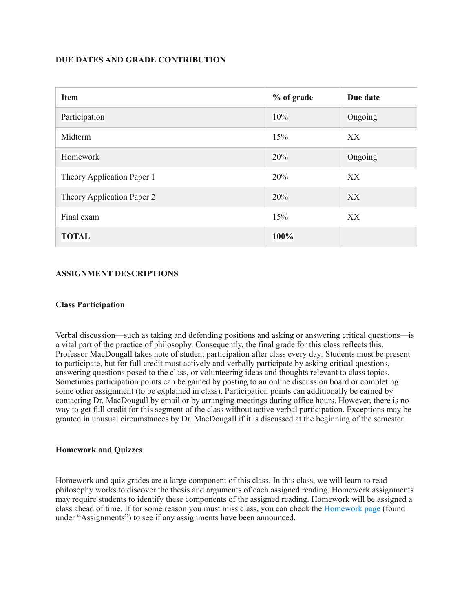# **DUE DATES AND GRADE CONTRIBUTION**

| <b>Item</b>                | % of grade | Due date |
|----------------------------|------------|----------|
| Participation              | 10%        | Ongoing  |
| Midterm                    | 15%        | XX       |
| Homework                   | 20%        | Ongoing  |
| Theory Application Paper 1 | 20%        | XX       |
| Theory Application Paper 2 | 20%        | XX       |
| Final exam                 | 15%        | XX       |
| <b>TOTAL</b>               | 100%       |          |

# **ASSIGNMENT DESCRIPTIONS**

#### **Class Participation**

Verbal discussion—such as taking and defending positions and asking or answering critical questions—is a vital part of the practice of philosophy. Consequently, the final grade for this class reflects this. Professor MacDougall takes note of student participation after class every day*.* Students must be present to participate, but for full credit must actively and verbally participate by asking critical questions, answering questions posed to the class, or volunteering ideas and thoughts relevant to class topics. Sometimes participation points can be gained by posting to an online discussion board or completing some other assignment (to be explained in class). Participation points can additionally be earned by contacting Dr. MacDougall by email or by arranging meetings during office hours. However, there is no way to get full credit for this segment of the class without active verbal participation. Exceptions may be granted in unusual circumstances by Dr. MacDougall if it is discussed at the beginning of the semester.

#### **Homework and Quizzes**

Homework and quiz grades are a large component of this class. In this class, we will learn to read philosophy works to discover the thesis and arguments of each assigned reading. Homework assignments may require students to identify these components of the assigned reading. Homework will be assigned a class ahead of time. If for some reason you must miss class, you can check the [Homework page](https://openlab.citytech.cuny.edu/macdougallphil2103temp/category/homework/) (found under "Assignments") to see if any assignments have been announced.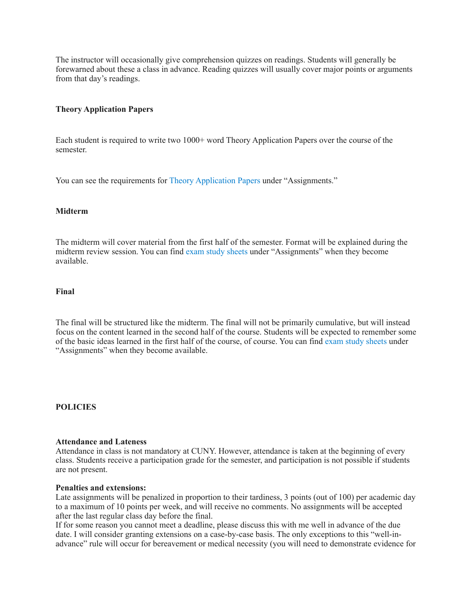The instructor will occasionally give comprehension quizzes on readings. Students will generally be forewarned about these a class in advance. Reading quizzes will usually cover major points or arguments from that day's readings.

# **Theory Application Papers**

Each student is required to write two 1000+ word Theory Application Papers over the course of the semester.

You can see the requirements for [Theory Application Papers](https://openlab.citytech.cuny.edu/macdougallphil2103temp/theory-application-papers/) under "Assignments."

#### **Midterm**

The midterm will cover material from the first half of the semester. Format will be explained during the midterm review session. You can find [exam study sheets](https://openlab.citytech.cuny.edu/macdougallphil2103temp/category/examstudysheets/) under "Assignments" when they become available.

# **Final**

The final will be structured like the midterm. The final will not be primarily cumulative, but will instead focus on the content learned in the second half of the course. Students will be expected to remember some of the basic ideas learned in the first half of the course, of course. You can find [exam study sheets](https://openlab.citytech.cuny.edu/macdougallphil2103temp/category/examstudysheets/) under "Assignments" when they become available.

#### **POLICIES**

#### **Attendance and Lateness**

Attendance in class is not mandatory at CUNY. However, attendance is taken at the beginning of every class. Students receive a participation grade for the semester, and participation is not possible if students are not present.

#### **Penalties and extensions:**

Late assignments will be penalized in proportion to their tardiness, 3 points (out of 100) per academic day to a maximum of 10 points per week, and will receive no comments. No assignments will be accepted after the last regular class day before the final.

If for some reason you cannot meet a deadline, please discuss this with me well in advance of the due date. I will consider granting extensions on a case-by-case basis. The only exceptions to this "well-inadvance" rule will occur for bereavement or medical necessity (you will need to demonstrate evidence for